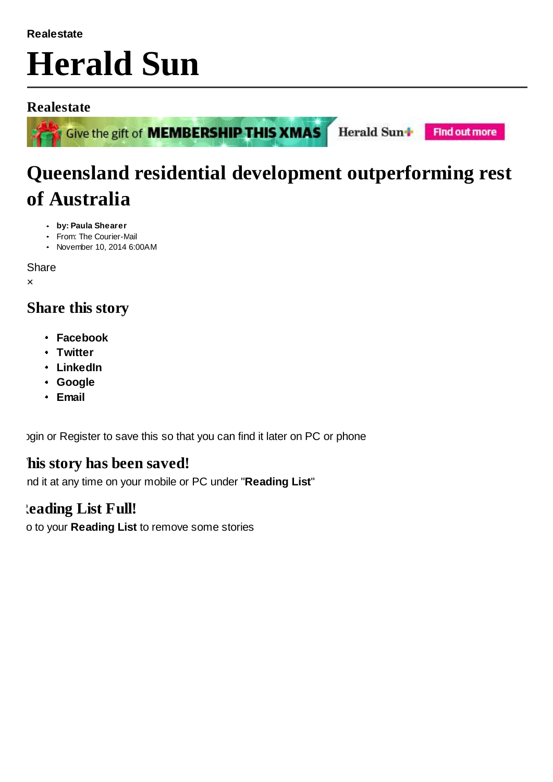#### **Realestate**

# **Herald Sun**

## **Realestate**



Give the gift of **MEMBERSHIP THIS XMAS** 

**Find out more** 

Herald Sun+

# **Queensland residential development outperforming rest of Australia**

- **by: Paula Shearer**
- From: The Courier-Mail
- November 10, 2014 6:00AM

**Share** 

×

# **Share this story**

- **Facebook**
- **Twitter**
- **LinkedIn**
- **Google**
- **Email**

I agin or Register to save this so that you can find it later on PC or phone

# **This story has been saved!**

Find it at any time on your mobile or PC under "**Reading List**"

# **Reading List Full!**

Go to your **Reading List** to remove some stories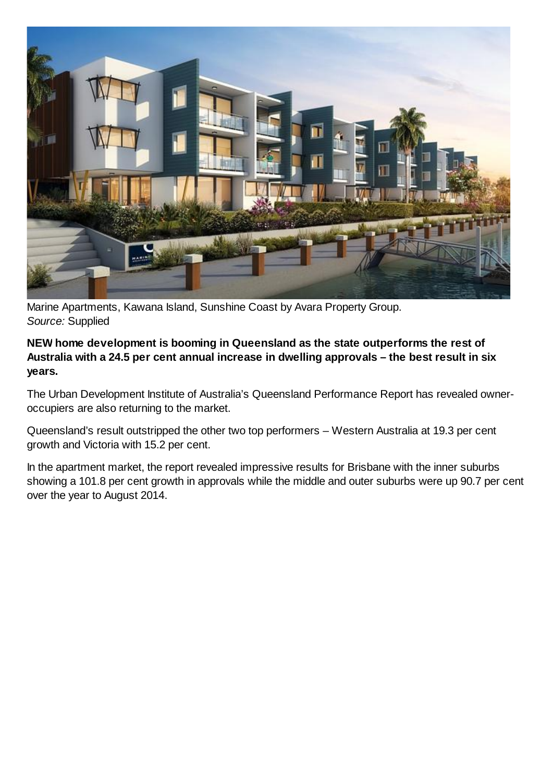

Marine Apartments, Kawana Island, Sunshine Coast by Avara Property Group. *Source:* Supplied

**NEW home development is booming in Queensland as the state outperforms the rest of Australia with a 24.5 per cent annual increase in dwelling approvals – the best result in six years.**

The Urban Development Institute of Australia's Queensland Performance Report has revealed owneroccupiers are also returning to the market.

Queensland's result outstripped the other two top performers – Western Australia at 19.3 per cent growth and Victoria with 15.2 per cent.

In the apartment market, the report revealed impressive results for Brisbane with the inner suburbs showing a 101.8 per cent growth in approvals while the middle and outer suburbs were up 90.7 per cent over the year to August 2014.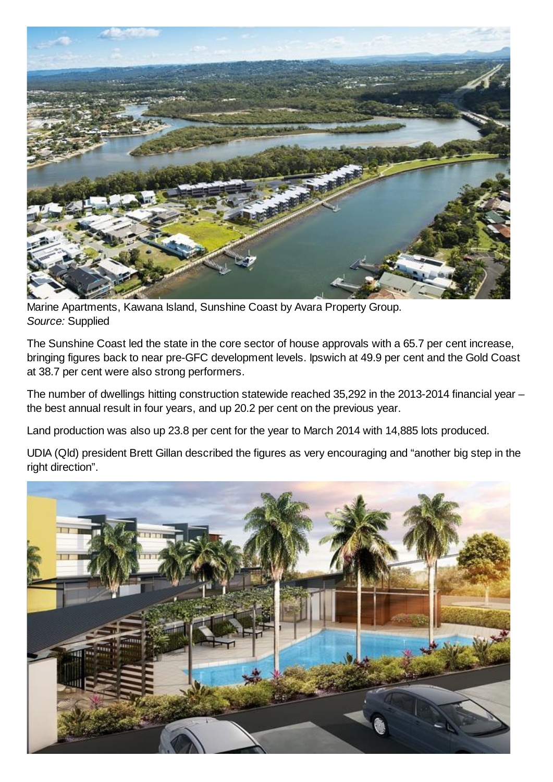

Marine Apartments, Kawana Island, Sunshine Coast by Avara Property Group. *Source:* Supplied

The Sunshine Coast led the state in the core sector of house approvals with a 65.7 per cent increase, bringing figures back to near pre-GFC development levels. Ipswich at 49.9 per cent and the Gold Coast at 38.7 per cent were also strong performers.

The number of dwellings hitting construction statewide reached 35,292 in the 2013-2014 financial year – the best annual result in four years, and up 20.2 per cent on the previous year.

Land production was also up 23.8 per cent for the year to March 2014 with 14,885 lots produced.

UDIA (Qld) president Brett Gillan described the figures as very encouraging and "another big step in the right direction".

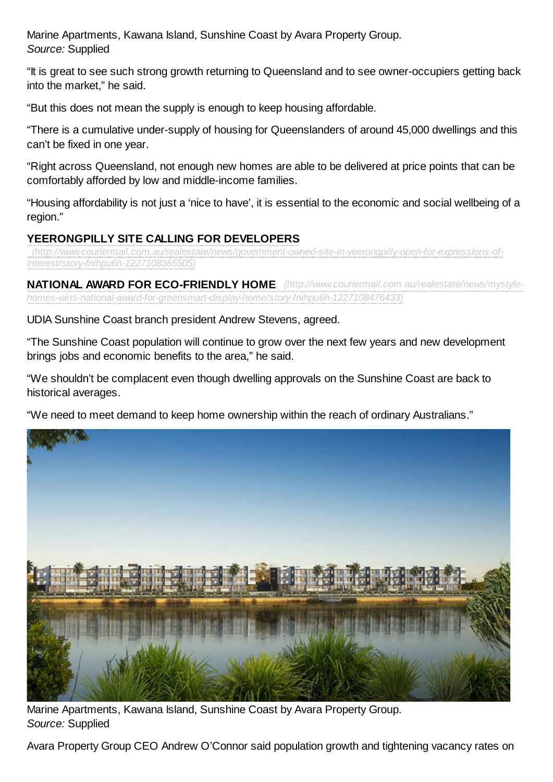Marine Apartments, Kawana Island, Sunshine Coast by Avara Property Group. *Source:* Supplied

"It is great to see such strong growth returning to Queensland and to see owner-occupiers getting back into the market," he said.

"But this does not mean the supply is enough to keep housing affordable.

"There is a cumulative under-supply of housing for Queenslanders of around 45,000 dwellings and this can't be fixed in one year.

"Right across Queensland, not enough new homes are able to be delivered at price points that can be comfortably afforded by low and middle-income families.

"Housing affordability is not just a 'nice to have', it is essential to the economic and social wellbeing of a region."

### **YEERONGPILLY SITE CALLING FOR DEVELOPERS**

*(http://www.couriermail.com.au/realestate/news/government-owned-site-in-yeerongpilly-open-for-expressions-ofinterest/story-fnihpu6h-1227108365505)*

**NATIONAL AWARD FOR ECO-FRIENDLY HOME** *(http://www.couriermail.com.au/realestate/news/mystylehomes-wins-national-award-for-greensmart-display-home/story-fnihpu6h-1227108476433)*

UDIA Sunshine Coast branch president Andrew Stevens, agreed.

"The Sunshine Coast population will continue to grow over the next few years and new development brings jobs and economic benefits to the area," he said.

"We shouldn't be complacent even though dwelling approvals on the Sunshine Coast are back to historical averages.

"We need to meet demand to keep home ownership within the reach of ordinary Australians."



Marine Apartments, Kawana Island, Sunshine Coast by Avara Property Group. *Source:* Supplied

Avara Property Group CEO Andrew O'Connor said population growth and tightening vacancy rates on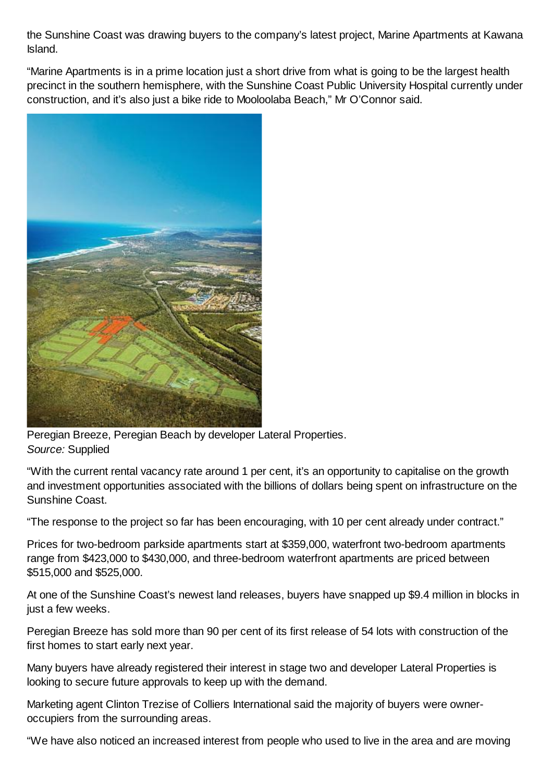the Sunshine Coast was drawing buyers to the company's latest project, Marine Apartments at Kawana Island.

"Marine Apartments is in a prime location just a short drive from what is going to be the largest health precinct in the southern hemisphere, with the Sunshine Coast Public University Hospital currently under construction, and it's also just a bike ride to Mooloolaba Beach," Mr O'Connor said.



Peregian Breeze, Peregian Beach by developer Lateral Properties. *Source:* Supplied

"With the current rental vacancy rate around 1 per cent, it's an opportunity to capitalise on the growth and investment opportunities associated with the billions of dollars being spent on infrastructure on the Sunshine Coast.

"The response to the project so far has been encouraging, with 10 per cent already under contract."

Prices for two-bedroom parkside apartments start at \$359,000, waterfront two-bedroom apartments range from \$423,000 to \$430,000, and three-bedroom waterfront apartments are priced between \$515,000 and \$525,000.

At one of the Sunshine Coast's newest land releases, buyers have snapped up \$9.4 million in blocks in just a few weeks.

Peregian Breeze has sold more than 90 per cent of its first release of 54 lots with construction of the first homes to start early next year.

Many buyers have already registered their interest in stage two and developer Lateral Properties is looking to secure future approvals to keep up with the demand.

Marketing agent Clinton Trezise of Colliers International said the majority of buyers were owneroccupiers from the surrounding areas.

"We have also noticed an increased interest from people who used to live in the area and are moving